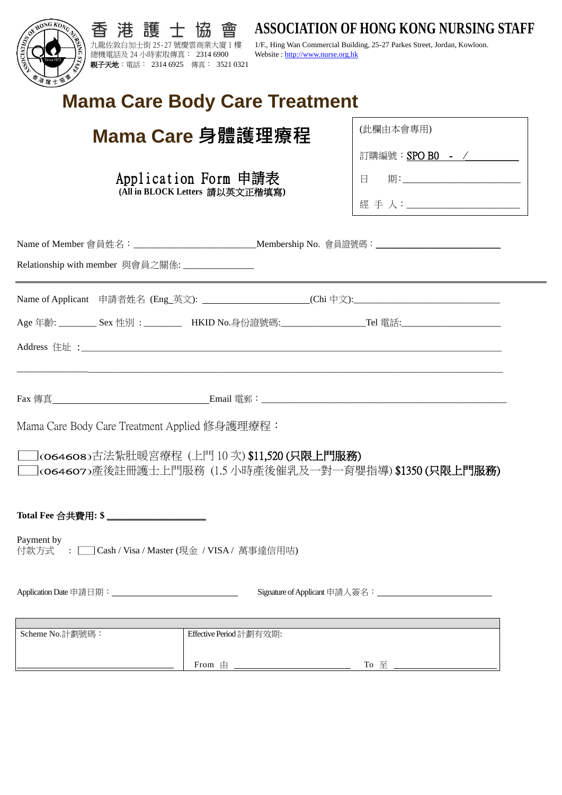| OF HONG KONG<br>護<br>九龍佐敦白加士街 25-27 號慶雲商業大廈 1 樓<br>總機電話及 24 小時索取傳真: 2314 6900                             | 曾<br>協<br>Website: http://www.nurse.org.hk | <b>ASSOCIATION OF HONG KONG NURSING STAFF</b><br>1/F., Hing Wan Commercial Building, 25-27 Parkes Street, Jordan, Kowloon. |
|-----------------------------------------------------------------------------------------------------------|--------------------------------------------|----------------------------------------------------------------------------------------------------------------------------|
| 親子天地:電話: 2314 6925 傳真: 3521 0321                                                                          |                                            |                                                                                                                            |
| <b>Mama Care Body Care Treatment</b>                                                                      |                                            |                                                                                                                            |
| Mama Care 身體護理療程                                                                                          |                                            | (此欄由本會專用)                                                                                                                  |
| Application Form 申請表<br>(All in BLOCK Letters 請以英文正楷填寫)                                                   |                                            | 訂購編號: SPO B0 - /                                                                                                           |
|                                                                                                           |                                            | 日 期:__________________________                                                                                             |
|                                                                                                           |                                            |                                                                                                                            |
| Name of Member 會員姓名: ________________________________Membership No. 會員證號碼: ________________________       |                                            |                                                                                                                            |
| Relationship with member 與會員之關係: _______________                                                          |                                            |                                                                                                                            |
| Name of Applicant 申請者姓名 (Eng_英文): _______________________(Chi 中文):_________________________________       |                                            |                                                                                                                            |
| Age 年齡: _________ Sex 性別: _________ HKID No.身份證號碼:__________________Tel 電話:________________________       |                                            |                                                                                                                            |
|                                                                                                           |                                            |                                                                                                                            |
|                                                                                                           |                                            |                                                                                                                            |
| Mama Care Body Care Treatment Applied 修身護理療程:                                                             |                                            |                                                                                                                            |
| ]<064608>古法紮肚暖宮療程 (上門 10 次) \$11,520 (只限上門服務)<br>]<064607>產後註冊護士上門服務 (1.5 小時產後催乳及一對一育嬰指導) \$1350 (只限上門服務) |                                            |                                                                                                                            |
| Total Fee 合共費用: \$______________________                                                                  |                                            |                                                                                                                            |
| Payment by<br>付款方式: □ Cash / Visa / Master (現金 / VISA / 萬事達信用咭)                                           |                                            |                                                                                                                            |
|                                                                                                           |                                            |                                                                                                                            |
| Scheme No.計劃號碼:                                                                                           | Effective Period 計劃有效期:                    |                                                                                                                            |
|                                                                                                           |                                            |                                                                                                                            |